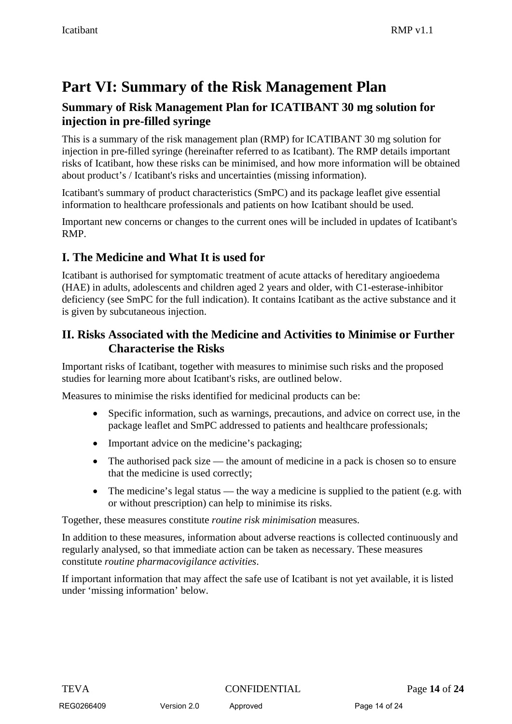# **Part VI: Summary of the Risk Management Plan**

### **Summary of Risk Management Plan for ICATIBANT 30 mg solution for injection in pre-filled syringe**

This is a summary of the risk management plan (RMP) for ICATIBANT 30 mg solution for injection in pre-filled syringe (hereinafter referred to as Icatibant). The RMP details important risks of Icatibant, how these risks can be minimised, and how more information will be obtained about product's / Icatibant's risks and uncertainties (missing information).

Icatibant's summary of product characteristics (SmPC) and its package leaflet give essential information to healthcare professionals and patients on how Icatibant should be used.

Important new concerns or changes to the current ones will be included in updates of Icatibant's RMP.

### **I. The Medicine and What It is used for**

Icatibant is authorised for symptomatic treatment of acute attacks of hereditary angioedema (HAE) in adults, adolescents and children aged 2 years and older, with C1-esterase-inhibitor deficiency (see SmPC for the full indication). It contains Icatibant as the active substance and it is given by subcutaneous injection.

### **II. Risks Associated with the Medicine and Activities to Minimise or Further Characterise the Risks**

Important risks of Icatibant, together with measures to minimise such risks and the proposed studies for learning more about Icatibant's risks, are outlined below.

Measures to minimise the risks identified for medicinal products can be:

- Specific information, such as warnings, precautions, and advice on correct use, in the package leaflet and SmPC addressed to patients and healthcare professionals;
- Important advice on the medicine's packaging;
- The authorised pack size the amount of medicine in a pack is chosen so to ensure that the medicine is used correctly;
- The medicine's legal status the way a medicine is supplied to the patient (e.g. with or without prescription) can help to minimise its risks.

Together, these measures constitute *routine risk minimisation* measures.

In addition to these measures, information about adverse reactions is collected continuously and regularly analysed, so that immediate action can be taken as necessary. These measures constitute *routine pharmacovigilance activities*.

If important information that may affect the safe use of Icatibant is not yet available, it is listed under 'missing information' below.